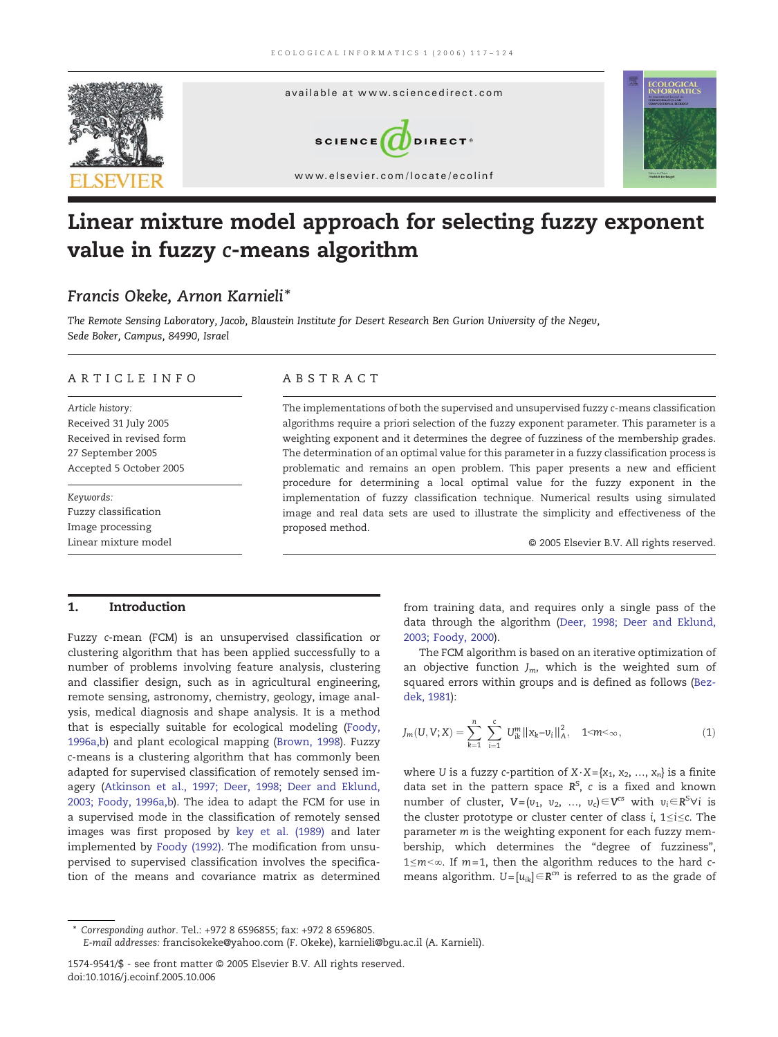

# Linear mixture model approach for selecting fuzzy exponent value in fuzzy c-means algorithm

# Francis Okeke, Arnon Karnieli\*

The Remote Sensing Laboratory, Jacob, Blaustein Institute for Desert Research Ben Gurion University of the Negev, Sede Boker, Campus, 84990, Israel

# ARTICLE INFO ABSTRACT

Article history: Received 31 July 2005 Received in revised form 27 September 2005 Accepted 5 October 2005

Keywords: Fuzzy classification Image processing Linear mixture model

The implementations of both the supervised and unsupervised fuzzy c-means classification algorithms require a priori selection of the fuzzy exponent parameter. This parameter is a weighting exponent and it determines the degree of fuzziness of the membership grades. The determination of an optimal value for this parameter in a fuzzy classification process is problematic and remains an open problem. This paper presents a new and efficient procedure for determining a local optimal value for the fuzzy exponent in the implementation of fuzzy classification technique. Numerical results using simulated image and real data sets are used to illustrate the simplicity and effectiveness of the proposed method.

© 2005 Elsevier B.V. All rights reserved.

# 1. Introduction

Fuzzy c-mean (FCM) is an unsupervised classification or clustering algorithm that has been applied successfully to a number of problems involving feature analysis, clustering and classifier design, such as in agricultural engineering, remote sensing, astronomy, chemistry, geology, image analysis, medical diagnosis and shape analysis. It is a method that is especially suitable for ecological modeling [\(Foody,](#page-7-0) [1996a,b\)](#page-7-0) and plant ecological mapping ([Brown, 1998](#page-6-0)). Fuzzy c-means is a clustering algorithm that has commonly been adapted for supervised classification of remotely sensed imagery ([Atkinson et al., 1997; Deer, 1998; Deer and Eklund,](#page-6-0) [2003; Foody, 1996a,b\)](#page-6-0). The idea to adapt the FCM for use in a supervised mode in the classification of remotely sensed images was first proposed by [key et al. \(1989\)](#page-7-0) and later implemented by [Foody \(1992\)](#page-7-0). The modification from unsupervised to supervised classification involves the specification of the means and covariance matrix as determined from training data, and requires only a single pass of the data through the algorithm [\(Deer, 1998; Deer and Eklund,](#page-7-0) [2003; Foody, 2000](#page-7-0)).

The FCM algorithm is based on an iterative optimization of an objective function  $J_m$ , which is the weighted sum of squared errors within groups and is defined as follows [\(Bez](#page-6-0)[dek, 1981\)](#page-6-0):

$$
J_m(U, V; X) = \sum_{k=1}^n \sum_{i=1}^c U_{ik}^m ||x_k - v_i||_A^2, \quad 1 \le m \le \infty,
$$
 (1)

where U is a fuzzy c-partition of  $X \cdot X = \{x_1, x_2, ..., x_n\}$  is a finite data set in the pattern space  $\mathbb{R}^S$ , c is a fixed and known number of cluster,  $\mathtt{V}\mathord=\{v_1,~v_2,~...,~v_c\} \mathord\in\hspace{-0.08cm} V^{\mathrm{cs}}$  with  $v_i \mathord\in\hspace{-0.08cm} \mathbb{R}^{\mathrm{S}} \forall i$  is the cluster prototype or cluster center of class i, 1≤i≤c. The parameter m is the weighting exponent for each fuzzy membership, which determines the "degree of fuzziness", 1≤m < $\infty$ . If m= 1, then the algorithm reduces to the hard cmeans algorithm.  $U=[u_{ik}]\in \mathbb{R}^{cn}$  is referred to as the grade of

<sup>⁎</sup> Corresponding author. Tel.: +972 8 6596855; fax: +972 8 6596805.

E-mail addresses: francisokeke@yahoo.com (F. Okeke), karnieli@bgu.ac.il (A. Karnieli).

<sup>1574-9541/\$ -</sup> see front matter © 2005 Elsevier B.V. All rights reserved. doi:10.1016/j.ecoinf.2005.10.006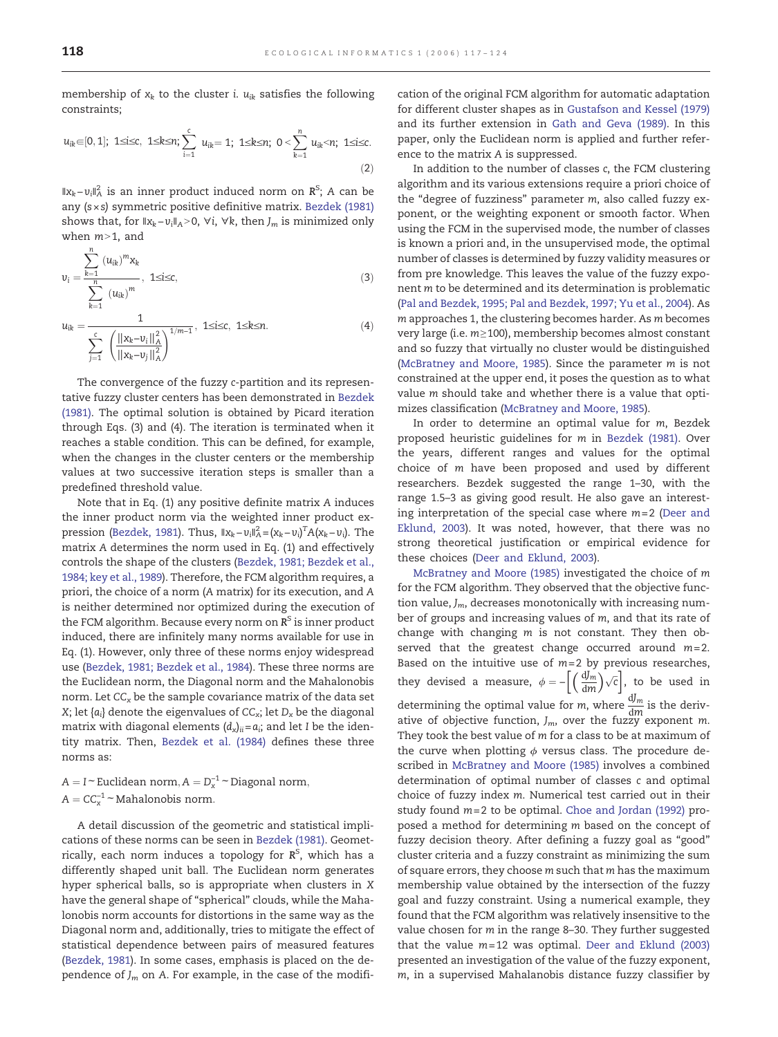membership of  $x_k$  to the cluster i.  $u_{ik}$  satisfies the following constraints;

$$
u_{ik} \in [0,1]; \ 1 \le i \le c, \ 1 \le k \le n; \ \sum_{i=1}^c \ u_{ik} = 1; \ 1 \le k \le n; \ 0 < \sum_{k=1}^n \ u_{ik} < n; \ 1 \le i \le c. \tag{2}
$$

∥x<sub>k</sub>−v<sub>i</sub>∥<sub>A</sub> is an inner product induced norm on R<sup>S</sup>; A can be any (s×s) symmetric positive definitive matrix. [Bezdek \(1981\)](#page-6-0) shows that, for  $||x_k - v_i||_A > 0$ ,  $\forall i$ ,  $\forall k$ , then J<sub>m</sub> is minimized only when  $m>1$ , and

$$
v_{i} = \frac{\sum_{k=1}^{n} (u_{ik})^{m} x_{k}}{\sum_{k=1}^{n} (u_{ik})^{m}}, \quad 1 \leq i \leq c,
$$
\n(3)

$$
u_{ik} = \frac{1}{\sum_{j=1}^{c} \left( \frac{||x_k - v_i||_A^2}{||x_k - v_j||_A^2} \right)^{1/m - 1}}, \quad 1 \le i \le c, \quad 1 \le k \le n. \tag{4}
$$

The convergence of the fuzzy c-partition and its representative fuzzy cluster centers has been demonstrated in [Bezdek](#page-6-0) [\(1981\).](#page-6-0) The optimal solution is obtained by Picard iteration through Eqs. (3) and (4). The iteration is terminated when it reaches a stable condition. This can be defined, for example, when the changes in the cluster centers or the membership values at two successive iteration steps is smaller than a predefined threshold value.

Note that in Eq. (1) any positive definite matrix A induces the inner product norm via the weighted inner product ex-pression ([Bezdek, 1981](#page-6-0)). Thus,  $||x_k - v_i||_A^2 = (x_k - v_i)^T A (x_k - v_i)$ . The matrix A determines the norm used in Eq. (1) and effectively controls the shape of the clusters ([Bezdek, 1981; Bezdek et al.,](#page-6-0) [1984; key et al., 1989](#page-6-0)). Therefore, the FCM algorithm requires, a priori, the choice of a norm (A matrix) for its execution, and A is neither determined nor optimized during the execution of the FCM algorithm. Because every norm on  $\mathbb{R}^S$  is inner product induced, there are infinitely many norms available for use in Eq. (1). However, only three of these norms enjoy widespread use ([Bezdek, 1981; Bezdek et al., 1984\)](#page-6-0). These three norms are the Euclidean norm, the Diagonal norm and the Mahalonobis norm. Let  $CC_x$  be the sample covariance matrix of the data set X; let  $\{a_i\}$  denote the eigenvalues of CC<sub>x</sub>; let  $D_x$  be the diagonal matrix with diagonal elements  $(d_x)_{ii}=a_i$ ; and let I be the identity matrix. Then, [Bezdek et al. \(1984\)](#page-6-0) defines these three norms as:

A = I∼Euclidean norm,  $A = D<sub>x</sub><sup>-1</sup> ∼$ Diagonal norm,  $A = CC<sub>x</sub><sup>-1</sup> ~ Mahalonobis norm.$ 

A detail discussion of the geometric and statistical implications of these norms can be seen in [Bezdek \(1981\).](#page-6-0) Geometrically, each norm induces a topology for  $R^S$ , which has a differently shaped unit ball. The Euclidean norm generates hyper spherical balls, so is appropriate when clusters in X have the general shape of "spherical" clouds, while the Mahalonobis norm accounts for distortions in the same way as the Diagonal norm and, additionally, tries to mitigate the effect of statistical dependence between pairs of measured features ([Bezdek, 1981\)](#page-6-0). In some cases, emphasis is placed on the dependence of  $J_m$  on A. For example, in the case of the modification of the original FCM algorithm for automatic adaptation for different cluster shapes as in [Gustafson and Kessel \(1979\)](#page-7-0) and its further extension in [Gath and Geva \(1989\)](#page-7-0). In this paper, only the Euclidean norm is applied and further reference to the matrix A is suppressed.

In addition to the number of classes c, the FCM clustering algorithm and its various extensions require a priori choice of the "degree of fuzziness" parameter m, also called fuzzy exponent, or the weighting exponent or smooth factor. When using the FCM in the supervised mode, the number of classes is known a priori and, in the unsupervised mode, the optimal number of classes is determined by fuzzy validity measures or from pre knowledge. This leaves the value of the fuzzy exponent m to be determined and its determination is problematic ([Pal and Bezdek, 1995; Pal and Bezdek, 1997; Yu et al., 2004\)](#page-7-0). As m approaches 1, the clustering becomes harder. As m becomes very large (i.e. m≥100), membership becomes almost constant and so fuzzy that virtually no cluster would be distinguished ([McBratney and Moore, 1985\)](#page-7-0). Since the parameter m is not constrained at the upper end, it poses the question as to what value m should take and whether there is a value that optimizes classification ([McBratney and Moore, 1985](#page-7-0)).

In order to determine an optimal value for m, Bezdek proposed heuristic guidelines for m in [Bezdek \(1981\).](#page-6-0) Over the years, different ranges and values for the optimal choice of m have been proposed and used by different researchers. Bezdek suggested the range 1–30, with the range 1.5–3 as giving good result. He also gave an interesting interpretation of the special case where  $m=2$  [\(Deer and](#page-7-0) [Eklund, 2003](#page-7-0)). It was noted, however, that there was no strong theoretical justification or empirical evidence for these choices [\(Deer and Eklund, 2003](#page-7-0)).

[McBratney and Moore \(1985\)](#page-7-0) investigated the choice of m for the FCM algorithm. They observed that the objective function value,  $J_m$ , decreases monotonically with increasing number of groups and increasing values of m, and that its rate of change with changing m is not constant. They then observed that the greatest change occurred around  $m = 2$ . Based on the intuitive use of  $m = 2$  by previous researches, they devised a measure,  $\phi = -\left[\left(\frac{dJ_m}{dm}\right) \sqrt{c}\right]$ , to be used in determining the optimal value for *m*, where  $\frac{dJ_m}{dm}$  is the derivative of objective function,  $J_m$ , over the fuzzy exponent m. They took the best value of m for a class to be at maximum of the curve when plotting  $\phi$  versus class. The procedure described in [McBratney and Moore \(1985\)](#page-7-0) involves a combined determination of optimal number of classes c and optimal choice of fuzzy index m. Numerical test carried out in their study found  $m = 2$  to be optimal. [Choe and Jordan \(1992\)](#page-6-0) proposed a method for determining m based on the concept of fuzzy decision theory. After defining a fuzzy goal as "good" cluster criteria and a fuzzy constraint as minimizing the sum of square errors, they choose m such that m has the maximum membership value obtained by the intersection of the fuzzy goal and fuzzy constraint. Using a numerical example, they found that the FCM algorithm was relatively insensitive to the value chosen for m in the range 8–30. They further suggested that the value  $m = 12$  was optimal. [Deer and Eklund \(2003\)](#page-7-0) presented an investigation of the value of the fuzzy exponent, m, in a supervised Mahalanobis distance fuzzy classifier by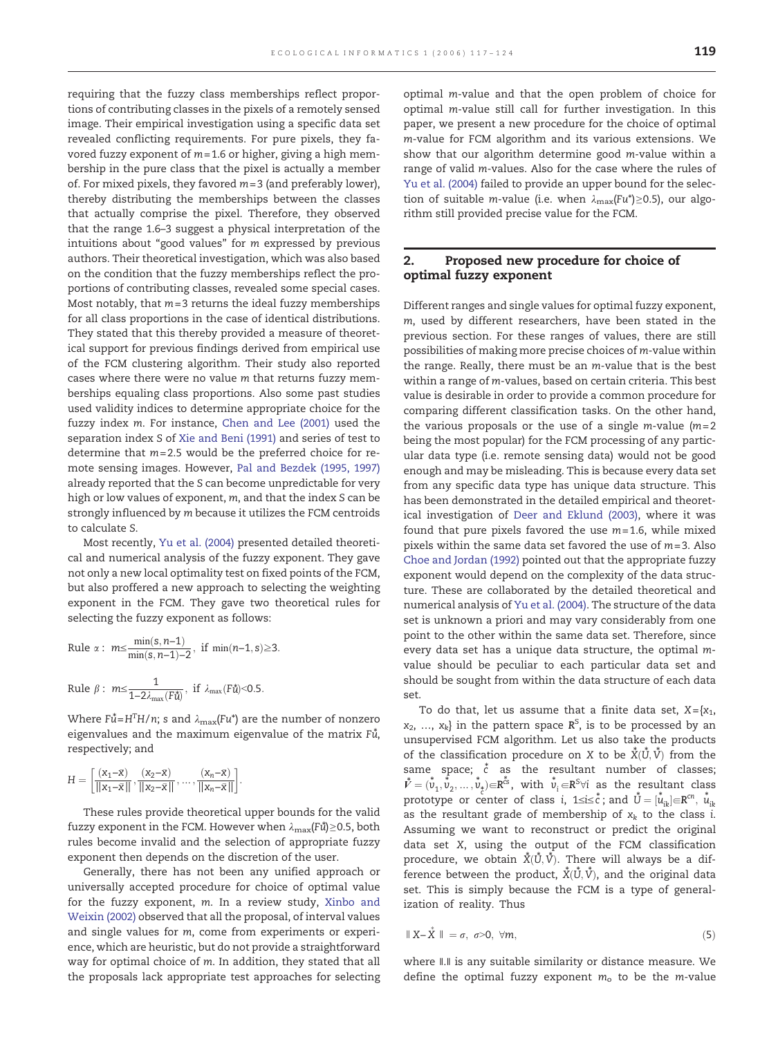requiring that the fuzzy class memberships reflect proportions of contributing classes in the pixels of a remotely sensed image. Their empirical investigation using a specific data set revealed conflicting requirements. For pure pixels, they favored fuzzy exponent of  $m = 1.6$  or higher, giving a high membership in the pure class that the pixel is actually a member of. For mixed pixels, they favored  $m=3$  (and preferably lower), thereby distributing the memberships between the classes that actually comprise the pixel. Therefore, they observed that the range 1.6–3 suggest a physical interpretation of the intuitions about "good values" for m expressed by previous authors. Their theoretical investigation, which was also based on the condition that the fuzzy memberships reflect the proportions of contributing classes, revealed some special cases. Most notably, that  $m = 3$  returns the ideal fuzzy memberships for all class proportions in the case of identical distributions. They stated that this thereby provided a measure of theoretical support for previous findings derived from empirical use of the FCM clustering algorithm. Their study also reported cases where there were no value m that returns fuzzy memberships equaling class proportions. Also some past studies used validity indices to determine appropriate choice for the fuzzy index m. For instance, [Chen and Lee \(2001\)](#page-6-0) used the separation index S of [Xie and Beni \(1991\)](#page-7-0) and series of test to determine that  $m = 2.5$  would be the preferred choice for remote sensing images. However, [Pal and Bezdek \(1995, 1997\)](#page-7-0)

already reported that the S can become unpredictable for very high or low values of exponent, m, and that the index S can be strongly influenced by m because it utilizes the FCM centroids to calculate S.

Most recently, [Yu et al. \(2004\)](#page-7-0) presented detailed theoretical and numerical analysis of the fuzzy exponent. They gave not only a new local optimality test on fixed points of the FCM, but also proffered a new approach to selecting the weighting exponent in the FCM. They gave two theoretical rules for selecting the fuzzy exponent as follows:

Rule 
$$
\alpha
$$
:  $m \le \frac{\min(s, n-1)}{\min(s, n-1)-2}$ , if  $\min(n-1, s) \ge 3$ .  
Rule  $\beta$ :  $m \le \frac{1}{1-2\lambda_{\max}(F\hat{u})}$ , if  $\lambda_{\max}(F\hat{u}) < 0.5$ .

Where Fů=H $^{\rm T}$ H/n; s and  $\lambda_{\rm max}$ (F $u^*$ ) are the number of nonzero eigenvalues and the maximum eigenvalue of the matrix  $F\mathring{u}$ , respectively; and

$$
H = \left[\frac{(x_1-\overline{x})}{\|x_1-\overline{x}\|}, \frac{(x_2-\overline{x})}{\|x_2-\overline{x}\|}, \dots, \frac{(x_n-\overline{x})}{\|x_n-\overline{x}\|}\right].
$$

These rules provide theoretical upper bounds for the valid fuzzy exponent in the FCM. However when  $\lambda_{\text{max}}(F\ddot{\theta}) \geq 0.5$ , both rules become invalid and the selection of appropriate fuzzy exponent then depends on the discretion of the user.

Generally, there has not been any unified approach or universally accepted procedure for choice of optimal value for the fuzzy exponent, m. In a review study, [Xinbo and](#page-7-0) [Weixin \(2002\)](#page-7-0) observed that all the proposal, of interval values and single values for m, come from experiments or experience, which are heuristic, but do not provide a straightforward way for optimal choice of m. In addition, they stated that all the proposals lack appropriate test approaches for selecting

optimal m-value and that the open problem of choice for optimal m-value still call for further investigation. In this paper, we present a new procedure for the choice of optimal m-value for FCM algorithm and its various extensions. We show that our algorithm determine good m-value within a range of valid m-values. Also for the case where the rules of [Yu et al. \(2004\)](#page-7-0) failed to provide an upper bound for the selection of suitable m-value (i.e. when  $\lambda_{\text{max}}(Fu^*) \ge 0.5$ ), our algorithm still provided precise value for the FCM.

# 2. Proposed new procedure for choice of optimal fuzzy exponent

Different ranges and single values for optimal fuzzy exponent, m, used by different researchers, have been stated in the previous section. For these ranges of values, there are still possibilities of making more precise choices of m-value within the range. Really, there must be an m-value that is the best within a range of m-values, based on certain criteria. This best value is desirable in order to provide a common procedure for comparing different classification tasks. On the other hand, the various proposals or the use of a single  $m$ -value  $(m=2)$ being the most popular) for the FCM processing of any particular data type (i.e. remote sensing data) would not be good enough and may be misleading. This is because every data set from any specific data type has unique data structure. This has been demonstrated in the detailed empirical and theoretical investigation of [Deer and Eklund \(2003\)](#page-7-0), where it was found that pure pixels favored the use  $m = 1.6$ , while mixed pixels within the same data set favored the use of  $m = 3$ . Also [Choe and Jordan \(1992\)](#page-6-0) pointed out that the appropriate fuzzy exponent would depend on the complexity of the data structure. These are collaborated by the detailed theoretical and numerical analysis of [Yu et al. \(2004\).](#page-7-0) The structure of the data set is unknown a priori and may vary considerably from one point to the other within the same data set. Therefore, since every data set has a unique data structure, the optimal mvalue should be peculiar to each particular data set and should be sought from within the data structure of each data set.

To do that, let us assume that a finite data set,  $X = \{x_1, x_2, \dots, x_n\}$  $x_2, ..., x_k$  in the pattern space  $\mathbb{R}^S$ , is to be processed by an unsupervised FCM algorithm. Let us also take the products of the classification procedure on X to be  $\check{X}(\check{U},\check{V})$  from the same space;  $\stackrel{*}{c}$  as the resultant number of classes;  $\vec{V} = (\stackrel{*}{v}_1, \stackrel{*}{v}_2, \dots, \stackrel{*}{v}_k) \in \mathbb{R}^{\vec{c}s}$ , with  $\stackrel{*}{v}_i \in \mathbb{R}^S \forall i$  as the resultant class prototype or center of class i, 1≤i≤cઁ; and  $\mathring{U}=[\overset{*}{u}_{ik}]\in\textbf{R}^{cn},\ \overset{*}{u}_{ik}$ as the resultant grade of membership of  $x_k$  to the class i. Assuming we want to reconstruct or predict the original data set X, using the output of the FCM classification procedure, we obtain  $\check{X}(\check{U}, \check{V})$ . There will always be a difference between the product,  $\check{X}(\check{U},\check{V})$ , and the original data set. This is simply because the FCM is a type of generalization of reality. Thus

$$
\parallel X - \stackrel{*}{X} \parallel = \sigma, \ \sigma > 0, \ \forall m,\tag{5}
$$

where ∥.∥ is any suitable similarity or distance measure. We define the optimal fuzzy exponent  $m_0$  to be the m-value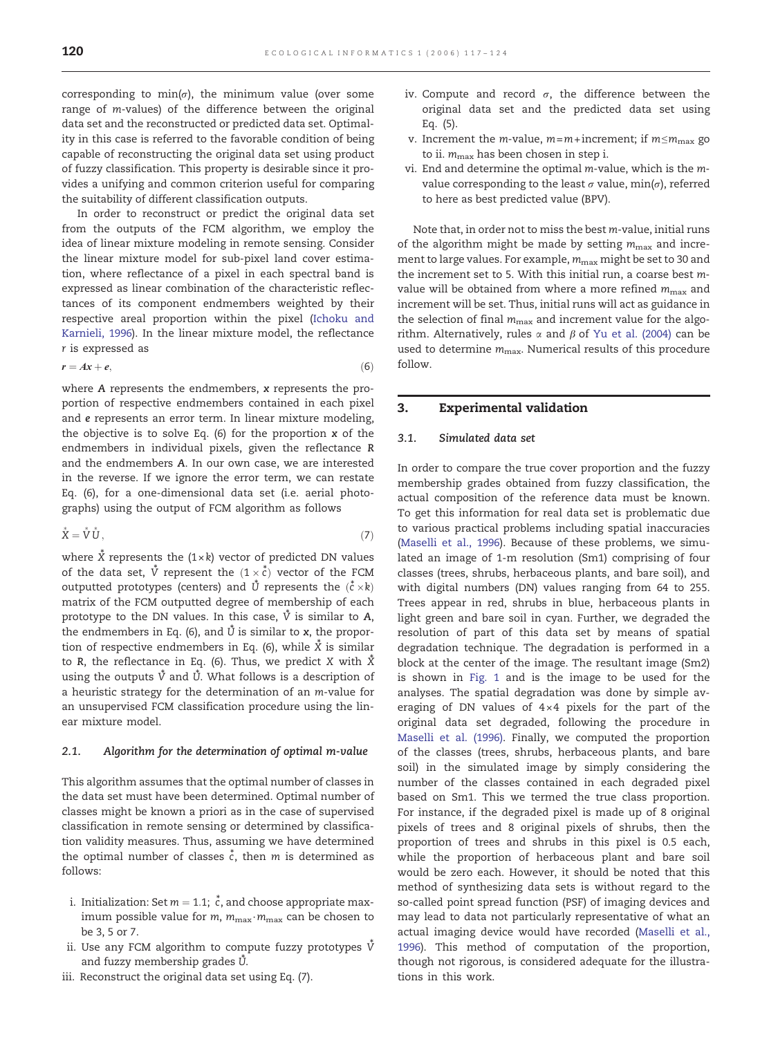corresponding to  $min(\sigma)$ , the minimum value (over some range of m-values) of the difference between the original data set and the reconstructed or predicted data set. Optimality in this case is referred to the favorable condition of being capable of reconstructing the original data set using product of fuzzy classification. This property is desirable since it provides a unifying and common criterion useful for comparing the suitability of different classification outputs.

In order to reconstruct or predict the original data set from the outputs of the FCM algorithm, we employ the idea of linear mixture modeling in remote sensing. Consider the linear mixture model for sub-pixel land cover estimation, where reflectance of a pixel in each spectral band is expressed as linear combination of the characteristic reflectances of its component endmembers weighted by their respective areal proportion within the pixel ([Ichoku and](#page-7-0) [Karnieli, 1996\)](#page-7-0). In the linear mixture model, the reflectance r is expressed as

$$
r = Ax + e,\tag{6}
$$

where A represents the endmembers, x represents the proportion of respective endmembers contained in each pixel and e represents an error term. In linear mixture modeling, the objective is to solve Eq. (6) for the proportion  $x$  of the endmembers in individual pixels, given the reflectance R and the endmembers A. In our own case, we are interested in the reverse. If we ignore the error term, we can restate Eq. (6), for a one-dimensional data set (i.e. aerial photographs) using the output of FCM algorithm as follows

$$
\stackrel{*}{X} = \stackrel{*}{V} \stackrel{*}{U},\tag{7}
$$

where  $\check{X}$  represents the (1×k) vector of predicted DN values of the data set,  $\mathring{V}$  represent the  $(1 \times \mathring{c})$  vector of the FCM outputted prototypes (centers) and  $\mathring{U}$  represents the  $(\mathring{\mathfrak{c}}\times\mathring{\mathsf{k}})$ matrix of the FCM outputted degree of membership of each prototype to the DN values. In this case,  $\check{V}$  is similar to A, the endmembers in Eq. (6), and  $\mathring{U}$  is similar to x, the proportion of respective endmembers in Eq. (6), while  $\check{X}$  is similar to R, the reflectance in Eq. (6). Thus, we predict X with  $\mathring{X}$ using the outputs  $\check{V}$  and  $\check{U}$ . What follows is a description of a heuristic strategy for the determination of an m-value for an unsupervised FCM classification procedure using the linear mixture model.

#### 2.1. Algorithm for the determination of optimal m-value

This algorithm assumes that the optimal number of classes in the data set must have been determined. Optimal number of classes might be known a priori as in the case of supervised classification in remote sensing or determined by classification validity measures. Thus, assuming we have determined the optimal number of classes  $\mathring{\mathfrak{c}},$  then  $m$  is determined as follows:

- i. Initialization: Set  $m = 1.1$ ;  $\stackrel{*}{\mathfrak{c}}$ , and choose appropriate maximum possible value for  $m$ ,  $m_{\text{max}} \cdot m_{\text{max}}$  can be chosen to be 3, 5 or 7.
- ii. Use any FCM algorithm to compute fuzzy prototypes  $\check{V}$ and fuzzy membership grades  $\mathring{U}$ .
- iii. Reconstruct the original data set using Eq. (7).
- iv. Compute and record  $\sigma$ , the difference between the original data set and the predicted data set using Eq. (5).
- v. Increment the m-value,  $m=m+$  increment; if  $m \le m_{\text{max}}$  go to ii.  $m_{\text{max}}$  has been chosen in step i.
- vi. End and determine the optimal m-value, which is the mvalue corresponding to the least  $\sigma$  value, min( $\sigma$ ), referred to here as best predicted value (BPV).

Note that, in order not to miss the best m-value, initial runs of the algorithm might be made by setting  $m_{\text{max}}$  and increment to large values. For example,  $m_{\text{max}}$  might be set to 30 and the increment set to 5. With this initial run, a coarse best mvalue will be obtained from where a more refined  $m_{\text{max}}$  and increment will be set. Thus, initial runs will act as guidance in the selection of final  $m_{\text{max}}$  and increment value for the algorithm. Alternatively, rules  $\alpha$  and  $\beta$  of [Yu et al. \(2004\)](#page-7-0) can be used to determine  $m_{\text{max}}$ . Numerical results of this procedure follow.

#### 3. Experimental validation

#### 3.1. Simulated data set

In order to compare the true cover proportion and the fuzzy membership grades obtained from fuzzy classification, the actual composition of the reference data must be known. To get this information for real data set is problematic due to various practical problems including spatial inaccuracies ([Maselli et al., 1996\)](#page-7-0). Because of these problems, we simulated an image of 1-m resolution (Sm1) comprising of four classes (trees, shrubs, herbaceous plants, and bare soil), and with digital numbers (DN) values ranging from 64 to 255. Trees appear in red, shrubs in blue, herbaceous plants in light green and bare soil in cyan. Further, we degraded the resolution of part of this data set by means of spatial degradation technique. The degradation is performed in a block at the center of the image. The resultant image (Sm2) is shown in [Fig. 1](#page-4-0) and is the image to be used for the analyses. The spatial degradation was done by simple averaging of DN values of  $4\times4$  pixels for the part of the original data set degraded, following the procedure in [Maselli et al. \(1996\).](#page-7-0) Finally, we computed the proportion of the classes (trees, shrubs, herbaceous plants, and bare soil) in the simulated image by simply considering the number of the classes contained in each degraded pixel based on Sm1. This we termed the true class proportion. For instance, if the degraded pixel is made up of 8 original pixels of trees and 8 original pixels of shrubs, then the proportion of trees and shrubs in this pixel is 0.5 each, while the proportion of herbaceous plant and bare soil would be zero each. However, it should be noted that this method of synthesizing data sets is without regard to the so-called point spread function (PSF) of imaging devices and may lead to data not particularly representative of what an actual imaging device would have recorded ([Maselli et al.,](#page-7-0) [1996\)](#page-7-0). This method of computation of the proportion, though not rigorous, is considered adequate for the illustrations in this work.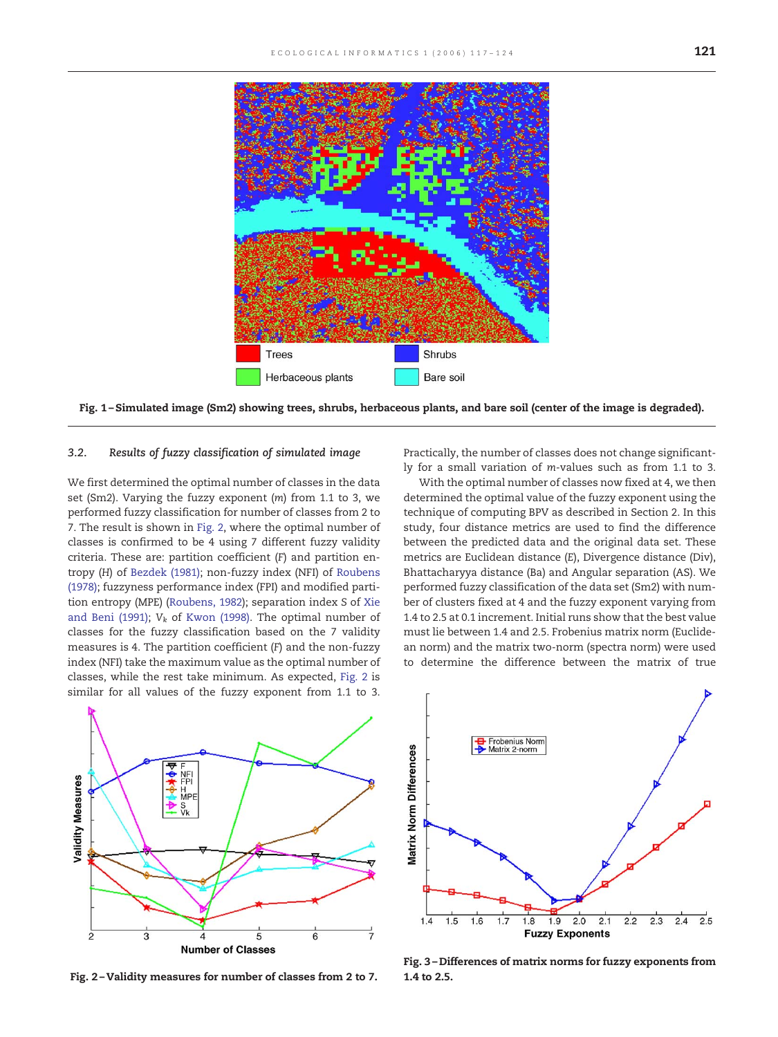<span id="page-4-0"></span>

Fig. 1 – Simulated image (Sm2) showing trees, shrubs, herbaceous plants, and bare soil (center of the image is degraded).

#### 3.2. Results of fuzzy classification of simulated image

We first determined the optimal number of classes in the data set (Sm2). Varying the fuzzy exponent (m) from 1.1 to 3, we performed fuzzy classification for number of classes from 2 to 7. The result is shown in Fig. 2, where the optimal number of classes is confirmed to be 4 using 7 different fuzzy validity criteria. These are: partition coefficient (F) and partition entropy (H) of [Bezdek \(1981\)](#page-6-0); non-fuzzy index (NFI) of [Roubens](#page-7-0) [\(1978\)](#page-7-0); fuzzyness performance index (FPI) and modified partition entropy (MPE) ([Roubens, 1982](#page-7-0)); separation index S of [Xie](#page-7-0) [and Beni \(1991\)](#page-7-0);  $V_k$  of [Kwon \(1998\)](#page-7-0). The optimal number of classes for the fuzzy classification based on the 7 validity measures is 4. The partition coefficient (F) and the non-fuzzy index (NFI) take the maximum value as the optimal number of classes, while the rest take minimum. As expected, Fig. 2 is similar for all values of the fuzzy exponent from 1.1 to 3.



Fig. 2 – Validity measures for number of classes from 2 to 7.

Practically, the number of classes does not change significantly for a small variation of m-values such as from 1.1 to 3.

With the optimal number of classes now fixed at 4, we then determined the optimal value of the fuzzy exponent using the technique of computing BPV as described in Section 2. In this study, four distance metrics are used to find the difference between the predicted data and the original data set. These metrics are Euclidean distance (E), Divergence distance (Div), Bhattacharyya distance (Ba) and Angular separation (AS). We performed fuzzy classification of the data set (Sm2) with number of clusters fixed at 4 and the fuzzy exponent varying from 1.4 to 2.5 at 0.1 increment. Initial runs show that the best value must lie between 1.4 and 2.5. Frobenius matrix norm (Euclidean norm) and the matrix two-norm (spectra norm) were used to determine the difference between the matrix of true



Fig. 3 – Differences of matrix norms for fuzzy exponents from 1.4 to 2.5.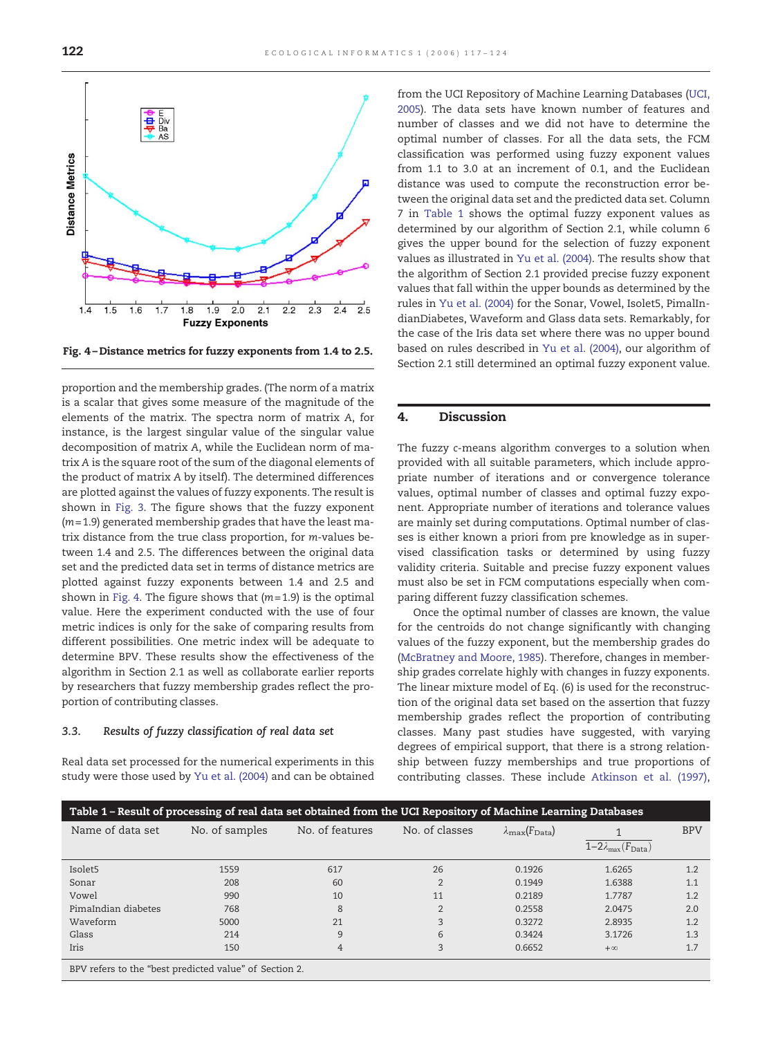

Fig. 4 – Distance metrics for fuzzy exponents from 1.4 to 2.5.

proportion and the membership grades. (The norm of a matrix is a scalar that gives some measure of the magnitude of the elements of the matrix. The spectra norm of matrix A, for instance, is the largest singular value of the singular value decomposition of matrix A, while the Euclidean norm of matrix A is the square root of the sum of the diagonal elements of the product of matrix A by itself). The determined differences are plotted against the values of fuzzy exponents. The result is shown in [Fig. 3.](#page-4-0) The figure shows that the fuzzy exponent (m= 1.9) generated membership grades that have the least matrix distance from the true class proportion, for m-values between 1.4 and 2.5. The differences between the original data set and the predicted data set in terms of distance metrics are plotted against fuzzy exponents between 1.4 and 2.5 and shown in Fig. 4. The figure shows that  $(m=1.9)$  is the optimal value. Here the experiment conducted with the use of four metric indices is only for the sake of comparing results from different possibilities. One metric index will be adequate to determine BPV. These results show the effectiveness of the algorithm in Section 2.1 as well as collaborate earlier reports by researchers that fuzzy membership grades reflect the proportion of contributing classes.

#### 3.3. Results of fuzzy classification of real data set

Real data set processed for the numerical experiments in this study were those used by [Yu et al. \(2004\)](#page-7-0) and can be obtained from the UCI Repository of Machine Learning Databases [\(UCI,](#page-7-0) [2005\)](#page-7-0). The data sets have known number of features and number of classes and we did not have to determine the optimal number of classes. For all the data sets, the FCM classification was performed using fuzzy exponent values from 1.1 to 3.0 at an increment of 0.1, and the Euclidean distance was used to compute the reconstruction error between the original data set and the predicted data set. Column 7 in Table 1 shows the optimal fuzzy exponent values as determined by our algorithm of Section 2.1, while column 6 gives the upper bound for the selection of fuzzy exponent values as illustrated in [Yu et al. \(2004\)](#page-7-0). The results show that the algorithm of Section 2.1 provided precise fuzzy exponent values that fall within the upper bounds as determined by the rules in [Yu et al. \(2004\)](#page-7-0) for the Sonar, Vowel, Isolet5, PimalIndianDiabetes, Waveform and Glass data sets. Remarkably, for the case of the Iris data set where there was no upper bound based on rules described in [Yu et al. \(2004\),](#page-7-0) our algorithm of Section 2.1 still determined an optimal fuzzy exponent value.

#### 4. Discussion

The fuzzy c-means algorithm converges to a solution when provided with all suitable parameters, which include appropriate number of iterations and or convergence tolerance values, optimal number of classes and optimal fuzzy exponent. Appropriate number of iterations and tolerance values are mainly set during computations. Optimal number of classes is either known a priori from pre knowledge as in supervised classification tasks or determined by using fuzzy validity criteria. Suitable and precise fuzzy exponent values must also be set in FCM computations especially when comparing different fuzzy classification schemes.

Once the optimal number of classes are known, the value for the centroids do not change significantly with changing values of the fuzzy exponent, but the membership grades do ([McBratney and Moore, 1985\)](#page-7-0). Therefore, changes in membership grades correlate highly with changes in fuzzy exponents. The linear mixture model of Eq. (6) is used for the reconstruction of the original data set based on the assertion that fuzzy membership grades reflect the proportion of contributing classes. Many past studies have suggested, with varying degrees of empirical support, that there is a strong relationship between fuzzy memberships and true proportions of contributing classes. These include [Atkinson et al. \(1997\)](#page-6-0),

| Table 1 – Result of processing of real data set obtained from the UCI Repository of Machine Learning Databases |                |                 |                |                                         |                                            |            |
|----------------------------------------------------------------------------------------------------------------|----------------|-----------------|----------------|-----------------------------------------|--------------------------------------------|------------|
| Name of data set                                                                                               | No. of samples | No. of features | No. of classes | $\lambda_{\text{max}}(F_{\text{Data}})$ |                                            | <b>BPV</b> |
|                                                                                                                |                |                 |                |                                         | $1-2\lambda_{\text{max}}(F_{\text{Data}})$ |            |
| Isolet5                                                                                                        | 1559           | 617             | 26             | 0.1926                                  | 1.6265                                     | 1.2        |
| Sonar                                                                                                          | 208            | 60              |                | 0.1949                                  | 1.6388                                     | 1.1        |
| Vowel                                                                                                          | 990            | 10              | 11             | 0.2189                                  | 1.7787                                     | 1.2        |
| PimaIndian diabetes                                                                                            | 768            | 8               | 2              | 0.2558                                  | 2.0475                                     | 2.0        |
| Waveform                                                                                                       | 5000           | 21              | ζ              | 0.3272                                  | 2.8935                                     | 1.2        |
| Glass                                                                                                          | 214            | 9               | 6              | 0.3424                                  | 3.1726                                     | 1.3        |
| Iris                                                                                                           | 150            | 4               | ζ              | 0.6652                                  | $+\infty$                                  | 1.7        |
| $\mathbf{u}$<br>$\cdots$ , $\cdots$ , $\cdots$ , $\cdots$ , $\cdots$<br>$\mathbf{m}$                           |                |                 |                |                                         |                                            |            |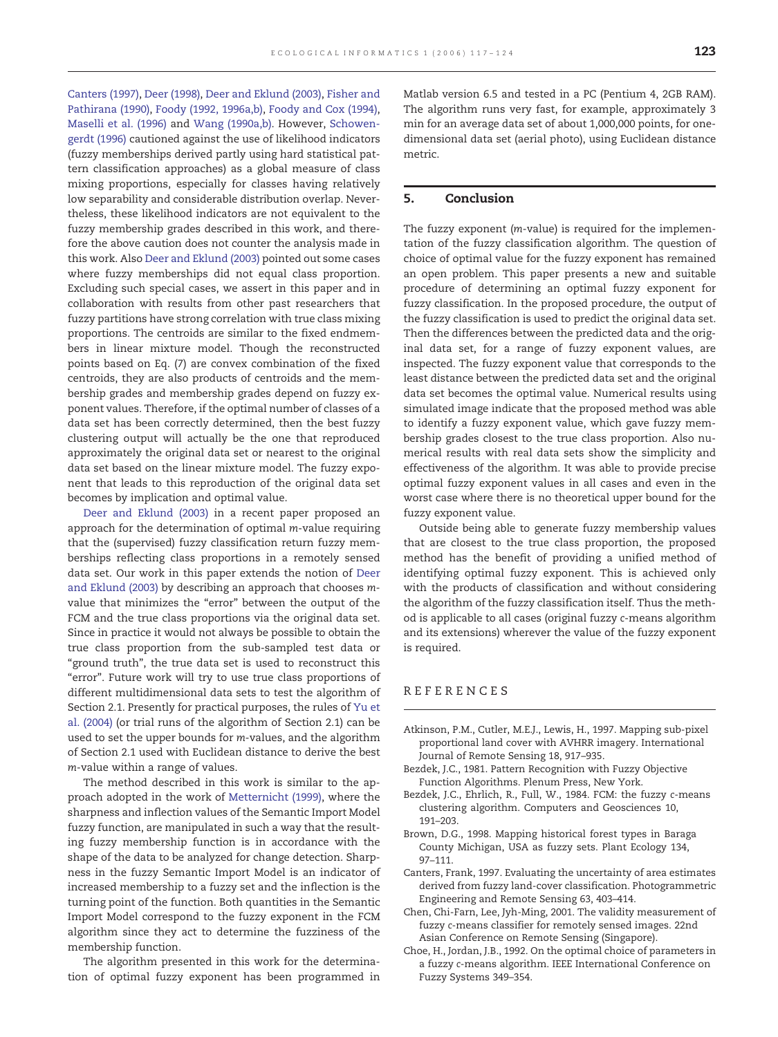<span id="page-6-0"></span>Canters (1997), [Deer \(1998\)](#page-7-0), [Deer and Eklund \(2003\)](#page-7-0), [Fisher and](#page-7-0) [Pathirana \(1990\),](#page-7-0) [Foody \(1992, 1996a,b\)](#page-7-0), [Foody and Cox \(1994\),](#page-7-0) [Maselli et al. \(1996\)](#page-7-0) and [Wang \(1990a,b\).](#page-7-0) However, [Schowen](#page-7-0)[gerdt \(1996\)](#page-7-0) cautioned against the use of likelihood indicators (fuzzy memberships derived partly using hard statistical pattern classification approaches) as a global measure of class mixing proportions, especially for classes having relatively low separability and considerable distribution overlap. Nevertheless, these likelihood indicators are not equivalent to the fuzzy membership grades described in this work, and therefore the above caution does not counter the analysis made in this work. Also [Deer and Eklund \(2003\)](#page-7-0) pointed out some cases where fuzzy memberships did not equal class proportion. Excluding such special cases, we assert in this paper and in collaboration with results from other past researchers that fuzzy partitions have strong correlation with true class mixing proportions. The centroids are similar to the fixed endmembers in linear mixture model. Though the reconstructed points based on Eq. (7) are convex combination of the fixed centroids, they are also products of centroids and the membership grades and membership grades depend on fuzzy exponent values. Therefore, if the optimal number of classes of a data set has been correctly determined, then the best fuzzy clustering output will actually be the one that reproduced approximately the original data set or nearest to the original data set based on the linear mixture model. The fuzzy exponent that leads to this reproduction of the original data set becomes by implication and optimal value.

[Deer and Eklund \(2003\)](#page-7-0) in a recent paper proposed an approach for the determination of optimal m-value requiring that the (supervised) fuzzy classification return fuzzy memberships reflecting class proportions in a remotely sensed data set. Our work in this paper extends the notion of [Deer](#page-7-0) [and Eklund \(2003\)](#page-7-0) by describing an approach that chooses mvalue that minimizes the "error" between the output of the FCM and the true class proportions via the original data set. Since in practice it would not always be possible to obtain the true class proportion from the sub-sampled test data or "ground truth", the true data set is used to reconstruct this "error". Future work will try to use true class proportions of different multidimensional data sets to test the algorithm of Section 2.1. Presently for practical purposes, the rules of [Yu et](#page-7-0) [al. \(2004\)](#page-7-0) (or trial runs of the algorithm of Section 2.1) can be used to set the upper bounds for m-values, and the algorithm of Section 2.1 used with Euclidean distance to derive the best m-value within a range of values.

The method described in this work is similar to the approach adopted in the work of [Metternicht \(1999\)](#page-7-0), where the sharpness and inflection values of the Semantic Import Model fuzzy function, are manipulated in such a way that the resulting fuzzy membership function is in accordance with the shape of the data to be analyzed for change detection. Sharpness in the fuzzy Semantic Import Model is an indicator of increased membership to a fuzzy set and the inflection is the turning point of the function. Both quantities in the Semantic Import Model correspond to the fuzzy exponent in the FCM algorithm since they act to determine the fuzziness of the membership function.

The algorithm presented in this work for the determination of optimal fuzzy exponent has been programmed in Matlab version 6.5 and tested in a PC (Pentium 4, 2GB RAM). The algorithm runs very fast, for example, approximately 3 min for an average data set of about 1,000,000 points, for onedimensional data set (aerial photo), using Euclidean distance metric.

# 5. Conclusion

The fuzzy exponent (m-value) is required for the implementation of the fuzzy classification algorithm. The question of choice of optimal value for the fuzzy exponent has remained an open problem. This paper presents a new and suitable procedure of determining an optimal fuzzy exponent for fuzzy classification. In the proposed procedure, the output of the fuzzy classification is used to predict the original data set. Then the differences between the predicted data and the original data set, for a range of fuzzy exponent values, are inspected. The fuzzy exponent value that corresponds to the least distance between the predicted data set and the original data set becomes the optimal value. Numerical results using simulated image indicate that the proposed method was able to identify a fuzzy exponent value, which gave fuzzy membership grades closest to the true class proportion. Also numerical results with real data sets show the simplicity and effectiveness of the algorithm. It was able to provide precise optimal fuzzy exponent values in all cases and even in the worst case where there is no theoretical upper bound for the fuzzy exponent value.

Outside being able to generate fuzzy membership values that are closest to the true class proportion, the proposed method has the benefit of providing a unified method of identifying optimal fuzzy exponent. This is achieved only with the products of classification and without considering the algorithm of the fuzzy classification itself. Thus the method is applicable to all cases (original fuzzy c-means algorithm and its extensions) wherever the value of the fuzzy exponent is required.

### REFERENCES

- Atkinson, P.M., Cutler, M.E.J., Lewis, H., 1997. Mapping sub-pixel proportional land cover with AVHRR imagery. International Journal of Remote Sensing 18, 917–935.
- Bezdek, J.C., 1981. Pattern Recognition with Fuzzy Objective Function Algorithms. Plenum Press, New York.
- Bezdek, J.C., Ehrlich, R., Full, W., 1984. FCM: the fuzzy c-means clustering algorithm. Computers and Geosciences 10, 191–203.
- Brown, D.G., 1998. Mapping historical forest types in Baraga County Michigan, USA as fuzzy sets. Plant Ecology 134, 97–111.
- Canters, Frank, 1997. Evaluating the uncertainty of area estimates derived from fuzzy land-cover classification. Photogrammetric Engineering and Remote Sensing 63, 403–414.
- Chen, Chi-Farn, Lee, Jyh-Ming, 2001. The validity measurement of fuzzy c-means classifier for remotely sensed images. 22nd Asian Conference on Remote Sensing (Singapore).
- Choe, H., Jordan, J.B., 1992. On the optimal choice of parameters in a fuzzy c-means algorithm. IEEE International Conference on Fuzzy Systems 349–354.